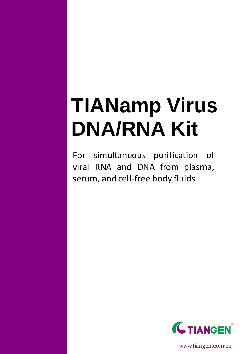# **TIANamp Virus DNA/RNA Kit**

For simultaneous purification of viral RNA and DNA from plasma, serum, and cell-free body fluids



www.tiangen.com/en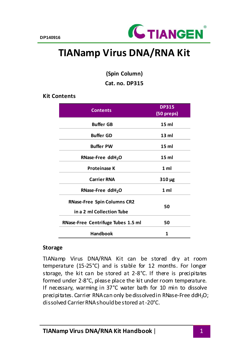

# **TIANamp Virus DNA/RNA Kit**

**(Spin Column)**

**Cat. no. DP315**

#### **Kit Contents**

| <b>Contents</b>                                                 | <b>DP315</b><br>(50 preps) |  |
|-----------------------------------------------------------------|----------------------------|--|
| <b>Buffer GB</b>                                                | 15 <sub>m</sub>            |  |
| <b>Buffer GD</b>                                                | 13 ml                      |  |
| <b>Buffer PW</b>                                                | 15 ml                      |  |
| RNase-Free ddH <sub>2</sub> O                                   | 15 ml                      |  |
| <b>Proteinase K</b>                                             | 1 ml                       |  |
| <b>Carrier RNA</b>                                              | $310 \mu g$                |  |
| RNase-Free ddH <sub>2</sub> O                                   | 1 <sub>m</sub>             |  |
| <b>RNase-Free Spin Columns CR2</b><br>in a 2 ml Collection Tube | 50                         |  |
| RNase-Free Centrifuge Tubes 1.5 ml                              | 50                         |  |
| <b>Handbook</b>                                                 | 1                          |  |

#### **Storage**

TIANamp Virus DNA/RNA Kit can be stored dry at room temperature (15-25°C) and is stable for 12 months. For longer storage, the kit can be stored at 2-8°C. If there is precipitates formed under 2-8°C, please place the kit under room temperature. If necessary, warming in 37°C water bath for 10 min to dissolve precipitates. Carrier RNA can only be dissolved in RNase-Free ddH<sub>2</sub>O; dissolved CarrierRNA should be stored at -20°C.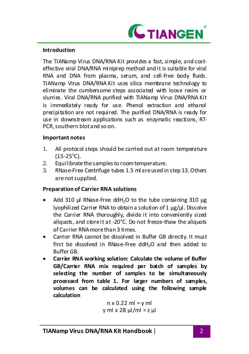

#### **Introduction**

The TIANamp Virus DNA/RNA Kit provides a fast, simple, and costeffective viral DNA/RNA miniprep method and it is suitable for viral RNA and DNA from plasma, serum, and cell-free body fluids. TIANamp Virus DNA/RNA Kit uses silica membrane technology to eliminate the cumbersome steps associated with loose resins or slurries. Viral DNA/RNA purified with TIANamp Virus DNA/RNA Kit is immediately ready for use. Phenol extraction and ethanol precipitation are not required. The purified DNA/RNA is ready for use in downstream applications such as enzymatic reactions, RT-PCR, southern blot and so on.

#### **Important notes**

- 1. All protocol steps should be carried out at room temperature  $(15-25^{\circ}C)$ .
- 2. Equilibrate the samples to room temperature.
- 3. RNase-Free Centrifuge tubes 1.5 ml are used in step 13. Others are not supplied.

# **Preparation of Carrier RNA solutions**

- Add 310 μl RNase-Free ddH<sub>2</sub>O to the tube containing 310 μg lyophilized Carrier RNA to obtain a solution of 1 μg/μl. Dissolve the Carrier RNA thoroughly, divide it into conveniently sized aliquots, and store it at -20°C. Do not freeze-thaw the aliquots of Carrier RNA more than 3 times.
- Carrier RNA cannot be dissolved in Buffer GB directly. It must first be dissolved in RNase-Free ddH<sub>2</sub>O and then added to Buffer GB.
- **Carrier RNA working solution: Calculate the volume of Buffer GB/Carrier RNA mix required per batch of samples by selecting the number of samples to be simultaneously processed from table 1. For larger numbers of samples, volumes can be calculated using the following sample calculation**

 $n \times 0.22$  ml = v ml y ml x 28 μl/ml = z μl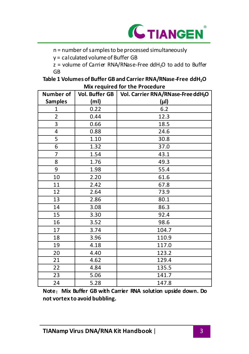

n = number of samples to be processed simultaneously

y = calculated volume of Buffer GB

 $z =$  volume of Carrier RNA/RNase-Free ddH<sub>2</sub>O to add to Buffer GB

**Table 1 Volumes of Buffer GB and Carrier RNA/RNase-Free ddH2O Mix required for the Procedure**

| Number of      | Vol. Buffer GB    | Vol. Carrier RNA/RNase-Free ddH2O |
|----------------|-------------------|-----------------------------------|
| <b>Samples</b> | (m <sub>l</sub> ) | (µl)                              |
| 1              | 0.22              | 6.2                               |
| 2              | 0.44              | 12.3                              |
| 3              | 0.66              | 18.5                              |
| 4              | 0.88              | 24.6                              |
| 5              | 1.10              | 30.8                              |
| 6              | 1.32              | 37.0                              |
| 7              | 1.54              | 43.1                              |
| 8              | 1.76              | 49.3                              |
| 9              | 1.98              | 55.4                              |
| 10             | 2.20              | 61.6                              |
| 11             | 2.42              | 67.8                              |
| 12             | 2.64              | 73.9                              |
| 13             | 2.86              | 80.1                              |
| 14             | 3.08              | 86.3                              |
| 15             | 3.30              | 92.4                              |
| 16             | 3.52              | 98.6                              |
| 17             | 3.74              | 104.7                             |
| 18             | 3.96              | 110.9                             |
| 19             | 4.18              | 117.0                             |
| 20             | 4.40              | 123.2                             |
| 21             | 4.62              | 129.4                             |
| 22             | 4.84              | 135.5                             |
| 23             | 5.06              | 141.7                             |
| 24             | 5.28              | 147.8                             |

**Note**:**Mix Buffer GB with Carrier RNA solution upside down. Do not vortex to avoid bubbling.**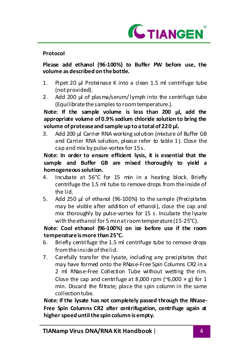

#### **Protocol**

#### **Please add ethanol (96-100%) to Buffer PW before use, the volume as described on the bottle.**

- 1. Pipet 20 μl Proteinase K into a clean 1.5 ml centrifuge tube (not provided).
- 2. Add 200 μ of plasma/serum/lymph into the centrifuge tube (Equilibrate the samples to room temperature.).

**Note: If the sample volume is less than 200 μl, add the appropriate volume of 0.9% sodium chloride solution to bring the volume of protease and sample up to a total of 220 μl.**

3. Add 200 μl Carrier RNA working solution (mixture of Buffer GB and Carrier RNA solution, please refer to table 1). Close the cap and mix by pulse-vortex for 15 s.

**Note: In order to ensure efficient lysis, it is essential that the sample and Buffer GB are mixed thoroughly to yield a homogeneous solution.**

- 4. Incubate at 56°C for 15 min in a heating block. Briefly centrifuge the 1.5 ml tube to remove drops from the inside of the lid.
- 5. Add 250 μl of ethanol (96-100%) to the sample (Precipitates may be visible after addition of ethanol), close the cap and mix thoroughly by pulse-vortex for 15 s. Incubate the lysate with the ethanol for 5 min at room temperature (15-25°C).

**Note: Cool ethanol (96-100%) on ice before use if the room temperatureis more than 25°C.**

- 6. Briefly centrifuge the 1.5 ml centrifuge tube to remove drops from the inside of the lid.
- 7. Carefully transfer the lysate, including any precipitates that may have formed onto the RNase-Free Spin Columns CR2 in a 2 ml RNase-Free Collection Tube without wetting the rim. Close the cap and centrifuge at 8,000 rpm ( $\infty$ ,000  $\times$  g) for 1 min. Discard the filtrate; place the spin column in the same collectiontube.

**Note: If the lysate has not completely passed through the RNase-Free Spin Columns CR2 after centrifugation, centrifuge again at higher speed until the spin column is empty.**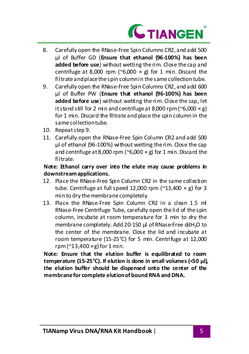

- 8. Carefully open the RNase-Free Spin Columns CR2, and add 500 μl of Buffer GD (**Ensure that ethanol (96-100%) has been added before use**) without wetting the rim. Close the cap and centrifuge at 8,000 rpm ( $\degree$ 6,000  $\times$  g) for 1 min. Discard the filtrate and place the spin column in the same collection tube.
- 9. Carefully open the RNase-Free Spin Columns CR2, and add 600 μl of Buffer PW (**Ensure that ethanol (96-100%) has been added before use**) without wetting the rim. Close the cap, let it stand still for 2 min and centrifuge at 8,000 rpm ( $\approx$ 6,000  $\times$  g) for 1 min. Discard the filtrate and place the spin column in the same collection tube.
- 10. Repeatstep 9.
- 11. Carefully open the RNase-Free Spin Column CR2 and add 500 μl of ethanol (96-100%) without wetting the rim. Close the cap and centrifuge at 8,000 rpm ( $\degree$ 6,000  $\times$  g) for 1 min. Discard the filtrate.

#### **Note: Ethanol carry over into the elute may cause problems in downstream applications.**

- 12. Place the RNase-Free Spin Column CR2 in the same collection tube. Centrifuge at full speed 12,000 rpm ( $\approx$ 13,400  $\times$  g) for 3 min to dry the membrane completely.
- 13. Place the RNase-Free Spin Column CR2 in a clean 1.5 ml RNase-Free Centrifuge Tube, carefully open the lid of the spin column, incubate at room temperature for 3 min to dry the membrane completely. Add 20-150 μl of RNase-Free ddH<sub>2</sub>O to the center of the membrane. Close the lid and incubate at room temperature (15-25°C) for 5 min. Centrifuge at 12,000 rpm ( $\approx$ 13,400  $\times$  g) for 1 min.

**Note: Ensure that the elution buffer is equilibrated to room temperature (15-25°C). If elution is done in small volumes (<50 μl), the elution buffer should be dispensed onto the center of the membrane for complete elution of bound RNA and DNA.**